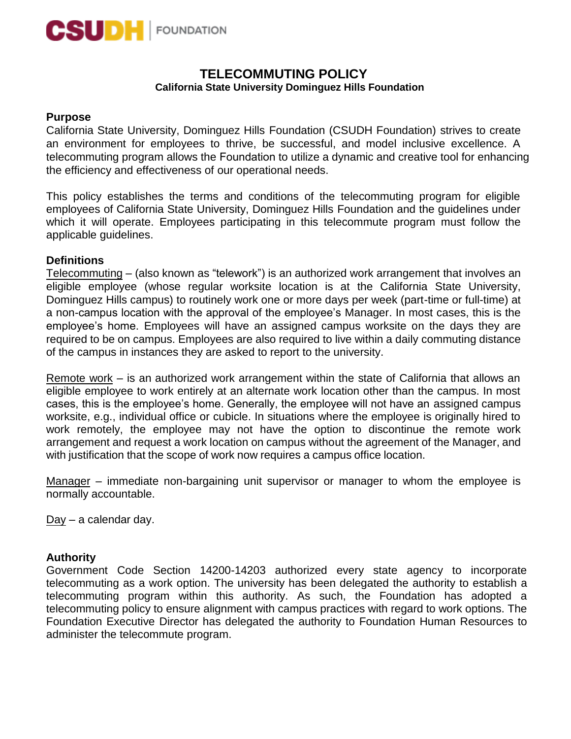

# **TELECOMMUTING POLICY California State University Dominguez Hills Foundation**

## **Purpose**

California State University, Dominguez Hills Foundation (CSUDH Foundation) strives to create an environment for employees to thrive, be successful, and model inclusive excellence. A telecommuting program allows the Foundation to utilize a dynamic and creative tool for enhancing the efficiency and effectiveness of our operational needs.

This policy establishes the terms and conditions of the telecommuting program for eligible employees of California State University, Dominguez Hills Foundation and the guidelines under which it will operate. Employees participating in this telecommute program must follow the applicable guidelines.

# **Definitions**

Telecommuting – (also known as "telework") is an authorized work arrangement that involves an eligible employee (whose regular worksite location is at the California State University, Dominguez Hills campus) to routinely work one or more days per week (part-time or full-time) at a non-campus location with the approval of the employee's Manager. In most cases, this is the employee's home. Employees will have an assigned campus worksite on the days they are required to be on campus. Employees are also required to live within a daily commuting distance of the campus in instances they are asked to report to the university.

Remote work – is an authorized work arrangement within the state of California that allows an eligible employee to work entirely at an alternate work location other than the campus. In most cases, this is the employee's home. Generally, the employee will not have an assigned campus worksite, e.g., individual office or cubicle. In situations where the employee is originally hired to work remotely, the employee may not have the option to discontinue the remote work arrangement and request a work location on campus without the agreement of the Manager, and with justification that the scope of work now requires a campus office location.

Manager – immediate non-bargaining unit supervisor or manager to whom the employee is normally accountable.

Day – a calendar day.

## **Authority**

Government Code Section 14200-14203 authorized every state agency to incorporate telecommuting as a work option. The university has been delegated the authority to establish a telecommuting program within this authority. As such, the Foundation has adopted a telecommuting policy to ensure alignment with campus practices with regard to work options. The Foundation Executive Director has delegated the authority to Foundation Human Resources to administer the telecommute program.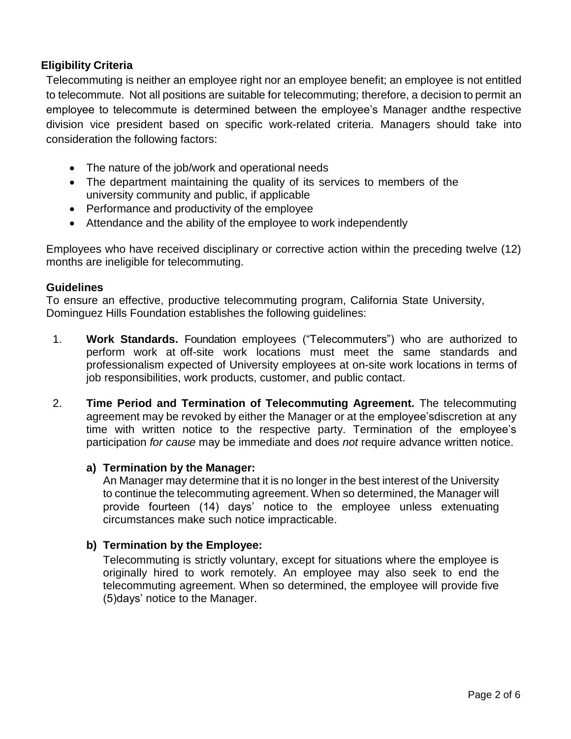# **Eligibility Criteria**

Telecommuting is neither an employee right nor an employee benefit; an employee is not entitled to telecommute. Not all positions are suitable for telecommuting; therefore, a decision to permit an employee to telecommute is determined between the employee's Manager andthe respective division vice president based on specific work-related criteria. Managers should take into consideration the following factors:

- The nature of the job/work and operational needs
- The department maintaining the quality of its services to members of the university community and public, if applicable
- Performance and productivity of the employee
- Attendance and the ability of the employee to work independently

Employees who have received disciplinary or corrective action within the preceding twelve (12) months are ineligible for telecommuting.

## **Guidelines**

To ensure an effective, productive telecommuting program, California State University, Dominguez Hills Foundation establishes the following guidelines:

- 1. **Work Standards.** Foundation employees ("Telecommuters") who are authorized to perform work at off-site work locations must meet the same standards and professionalism expected of University employees at on-site work locations in terms of job responsibilities, work products, customer, and public contact.
- 2. **Time Period and Termination of Telecommuting Agreement.** The telecommuting agreement may be revoked by either the Manager or at the employee'sdiscretion at any time with written notice to the respective party. Termination of the employee's participation *for cause* may be immediate and does *not* require advance written notice.

## **a) Termination by the Manager:**

An Manager may determine that it is no longer in the best interest of the University to continue the telecommuting agreement. When so determined, the Manager will provide fourteen (14) days' notice to the employee unless extenuating circumstances make such notice impracticable.

# **b) Termination by the Employee:**

Telecommuting is strictly voluntary, except for situations where the employee is originally hired to work remotely. An employee may also seek to end the telecommuting agreement. When so determined, the employee will provide five (5)days' notice to the Manager.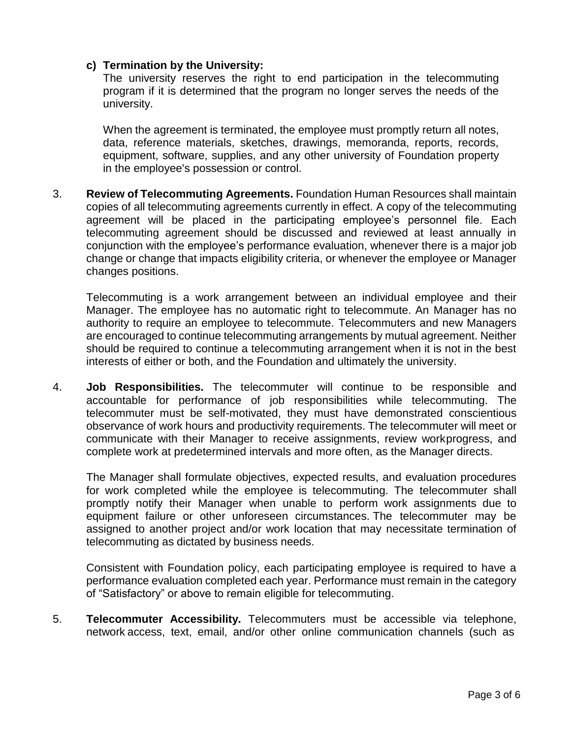# **c) Termination by the University:**

The university reserves the right to end participation in the telecommuting program if it is determined that the program no longer serves the needs of the university.

When the agreement is terminated, the employee must promptly return all notes, data, reference materials, sketches, drawings, memoranda, reports, records, equipment, software, supplies, and any other university of Foundation property in the employee's possession or control.

3. **Review of Telecommuting Agreements.** Foundation Human Resources shall maintain copies of all telecommuting agreements currently in effect. A copy of the telecommuting agreement will be placed in the participating employee's personnel file. Each telecommuting agreement should be discussed and reviewed at least annually in conjunction with the employee's performance evaluation, whenever there is a major job change or change that impacts eligibility criteria, or whenever the employee or Manager changes positions.

Telecommuting is a work arrangement between an individual employee and their Manager. The employee has no automatic right to telecommute. An Manager has no authority to require an employee to telecommute. Telecommuters and new Managers are encouraged to continue telecommuting arrangements by mutual agreement. Neither should be required to continue a telecommuting arrangement when it is not in the best interests of either or both, and the Foundation and ultimately the university.

4. **Job Responsibilities.** The telecommuter will continue to be responsible and accountable for performance of job responsibilities while telecommuting. The telecommuter must be self-motivated, they must have demonstrated conscientious observance of work hours and productivity requirements. The telecommuter will meet or communicate with their Manager to receive assignments, review workprogress, and complete work at predetermined intervals and more often, as the Manager directs.

The Manager shall formulate objectives, expected results, and evaluation procedures for work completed while the employee is telecommuting. The telecommuter shall promptly notify their Manager when unable to perform work assignments due to equipment failure or other unforeseen circumstances. The telecommuter may be assigned to another project and/or work location that may necessitate termination of telecommuting as dictated by business needs.

Consistent with Foundation policy, each participating employee is required to have a performance evaluation completed each year. Performance must remain in the category of "Satisfactory" or above to remain eligible for telecommuting.

5. **Telecommuter Accessibility.** Telecommuters must be accessible via telephone, network access, text, email, and/or other online communication channels (such as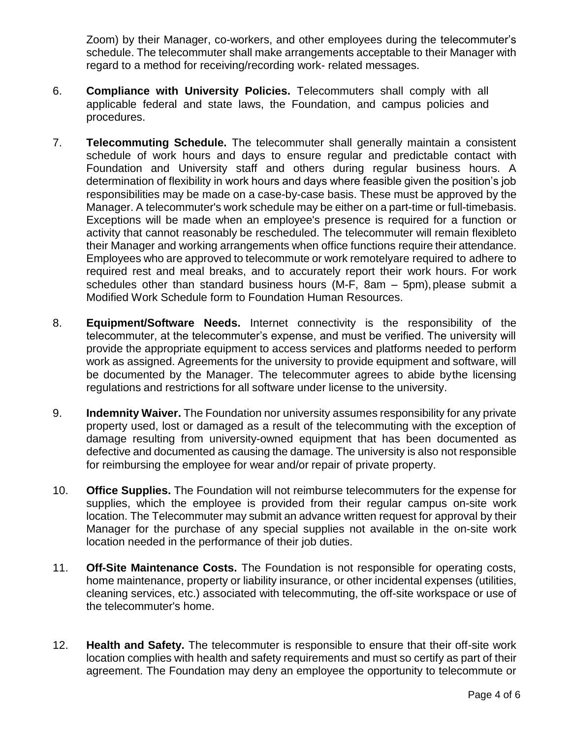Zoom) by their Manager, co-workers, and other employees during the telecommuter's schedule. The telecommuter shall make arrangements acceptable to their Manager with regard to a method for receiving/recording work- related messages.

- 6. **Compliance with University Policies.** Telecommuters shall comply with all applicable federal and state laws, the Foundation, and campus policies and procedures.
- 7. **Telecommuting Schedule.** The telecommuter shall generally maintain a consistent schedule of work hours and days to ensure regular and predictable contact with Foundation and University staff and others during regular business hours. A determination of flexibility in work hours and days where feasible given the position's job responsibilities may be made on a case-by-case basis. These must be approved by the Manager. A telecommuter's work schedule may be either on a part-time or full-timebasis. Exceptions will be made when an employee's presence is required for a function or activity that cannot reasonably be rescheduled. The telecommuter will remain flexibleto their Manager and working arrangements when office functions require their attendance. Employees who are approved to telecommute or work remotelyare required to adhere to required rest and meal breaks, and to accurately report their work hours. For work schedules other than standard business hours (M-F,  $8am - 5pm$ ), please submit a Modified Work Schedule form to Foundation Human Resources.
- 8. **Equipment/Software Needs.** Internet connectivity is the responsibility of the telecommuter, at the telecommuter's expense, and must be verified. The university will provide the appropriate equipment to access services and platforms needed to perform work as assigned. Agreements for the university to provide equipment and software, will be documented by the Manager. The telecommuter agrees to abide bythe licensing regulations and restrictions for all software under license to the university.
- 9. **Indemnity Waiver.** The Foundation nor university assumes responsibility for any private property used, lost or damaged as a result of the telecommuting with the exception of damage resulting from university-owned equipment that has been documented as defective and documented as causing the damage. The university is also not responsible for reimbursing the employee for wear and/or repair of private property.
- 10. **Office Supplies.** The Foundation will not reimburse telecommuters for the expense for supplies, which the employee is provided from their regular campus on-site work location. The Telecommuter may submit an advance written request for approval by their Manager for the purchase of any special supplies not available in the on-site work location needed in the performance of their job duties.
- 11. **Off-Site Maintenance Costs.** The Foundation is not responsible for operating costs, home maintenance, property or liability insurance, or other incidental expenses (utilities, cleaning services, etc.) associated with telecommuting, the off-site workspace or use of the telecommuter's home.
- 12. **Health and Safety.** The telecommuter is responsible to ensure that their off-site work location complies with health and safety requirements and must so certify as part of their agreement. The Foundation may deny an employee the opportunity to telecommute or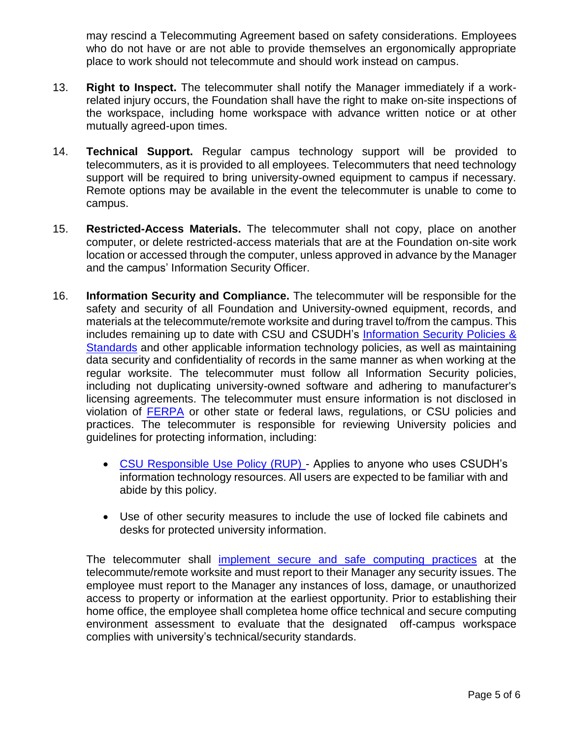may rescind a Telecommuting Agreement based on safety considerations. Employees who do not have or are not able to provide themselves an ergonomically appropriate place to work should not telecommute and should work instead on campus.

- 13. **Right to Inspect.** The telecommuter shall notify the Manager immediately if a workrelated injury occurs, the Foundation shall have the right to make on-site inspections of the workspace, including home workspace with advance written notice or at other mutually agreed-upon times.
- 14. **Technical Support.** Regular campus technology support will be provided to telecommuters, as it is provided to all employees. Telecommuters that need technology support will be required to bring university-owned equipment to campus if necessary. Remote options may be available in the event the telecommuter is unable to come to campus.
- 15. **Restricted-Access Materials.** The telecommuter shall not copy, place on another computer, or delete restricted-access materials that are at the Foundation on-site work location or accessed through the computer, unless approved in advance by the Manager and the campus' Information Security Officer.
- 16. **Information Security and Compliance.** The telecommuter will be responsible for the safety and security of all Foundation and University-owned equipment, records, and materials at the telecommute/remote worksite and during travel to/from the campus. This includes remaining up to date with CSU and CSUDH's [Information](https://www.csudh.edu/it/security-compliance/policy/) Security Policies & [Standards](https://www.csudh.edu/it/security-compliance/policy/) and other applicable information technology policies, as well as maintaining data security and confidentiality of records in the same manner as when working at the regular worksite. The telecommuter must follow all Information Security policies, including not duplicating university-owned software and adhering to manufacturer's licensing agreements. The telecommuter must ensure information is not disclosed in violation of [FERPA](https://www.csudh.edu/it/security-compliance/policy/) or other state or federal laws, regulations, or CSU policies and practices. The telecommuter is responsible for reviewing University policies and guidelines for protecting information, including:
	- [CSU Responsible Use Policy \(RUP\) -](https://www.csudh.edu/it/security-compliance/policy/) Applies to anyone who uses CSUDH's information technology resources. All users are expected to be familiar with and abide by this policy.
	- Use of other security measures to include the use of locked file cabinets and desks for protected university information.

The telecommuter shall [implement](https://www.csudh.edu/it/security-compliance/security/be-secure/) secure and safe computing practices at the telecommute/remote worksite and must report to their Manager any security issues. The employee must report to the Manager any instances of loss, damage, or unauthorized access to property or information at the earliest opportunity. Prior to establishing their home office, the employee shall completea home office technical and secure computing environment assessment to evaluate that the designated off-campus workspace complies with university's technical/security standards.